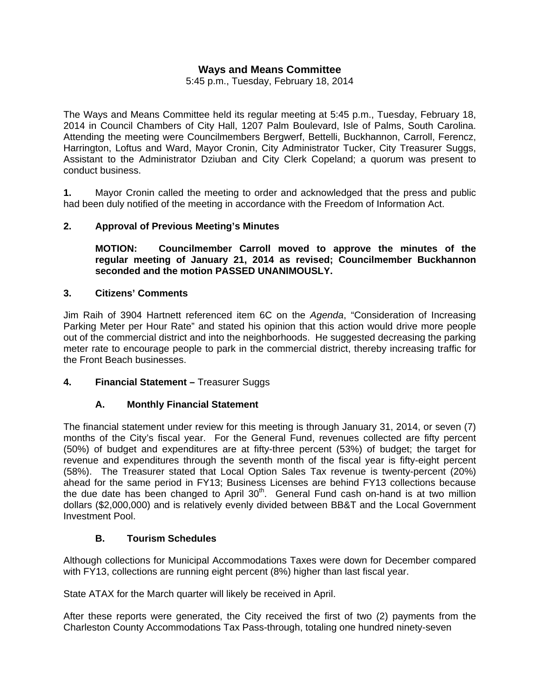# **Ways and Means Committee**

5:45 p.m., Tuesday, February 18, 2014

The Ways and Means Committee held its regular meeting at 5:45 p.m., Tuesday, February 18, 2014 in Council Chambers of City Hall, 1207 Palm Boulevard, Isle of Palms, South Carolina. Attending the meeting were Councilmembers Bergwerf, Bettelli, Buckhannon, Carroll, Ferencz, Harrington, Loftus and Ward, Mayor Cronin, City Administrator Tucker, City Treasurer Suggs, Assistant to the Administrator Dziuban and City Clerk Copeland; a quorum was present to conduct business.

**1.** Mayor Cronin called the meeting to order and acknowledged that the press and public had been duly notified of the meeting in accordance with the Freedom of Information Act.

# **2. Approval of Previous Meeting's Minutes**

 **MOTION: Councilmember Carroll moved to approve the minutes of the regular meeting of January 21, 2014 as revised; Councilmember Buckhannon seconded and the motion PASSED UNANIMOUSLY.** 

#### **3. Citizens' Comments**

Jim Raih of 3904 Hartnett referenced item 6C on the *Agenda*, "Consideration of Increasing Parking Meter per Hour Rate" and stated his opinion that this action would drive more people out of the commercial district and into the neighborhoods. He suggested decreasing the parking meter rate to encourage people to park in the commercial district, thereby increasing traffic for the Front Beach businesses.

#### **4. Financial Statement –** Treasurer Suggs

# **A. Monthly Financial Statement**

The financial statement under review for this meeting is through January 31, 2014, or seven (7) months of the City's fiscal year. For the General Fund, revenues collected are fifty percent (50%) of budget and expenditures are at fifty-three percent (53%) of budget; the target for revenue and expenditures through the seventh month of the fiscal year is fifty-eight percent (58%). The Treasurer stated that Local Option Sales Tax revenue is twenty-percent (20%) ahead for the same period in FY13; Business Licenses are behind FY13 collections because the due date has been changed to April  $30<sup>th</sup>$ . General Fund cash on-hand is at two million dollars (\$2,000,000) and is relatively evenly divided between BB&T and the Local Government Investment Pool.

# **B. Tourism Schedules**

Although collections for Municipal Accommodations Taxes were down for December compared with FY13, collections are running eight percent (8%) higher than last fiscal year.

State ATAX for the March quarter will likely be received in April.

After these reports were generated, the City received the first of two (2) payments from the Charleston County Accommodations Tax Pass-through, totaling one hundred ninety-seven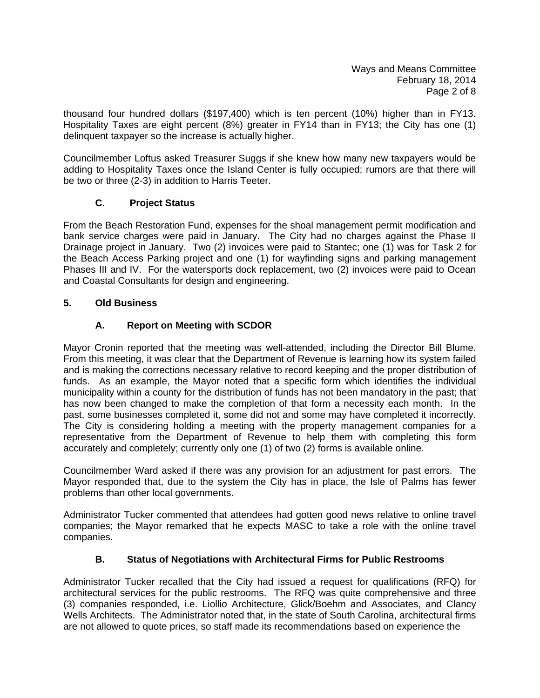Ways and Means Committee February 18, 2014 Page 2 of 8

thousand four hundred dollars (\$197,400) which is ten percent (10%) higher than in FY13. Hospitality Taxes are eight percent (8%) greater in FY14 than in FY13; the City has one (1) delinquent taxpayer so the increase is actually higher.

Councilmember Loftus asked Treasurer Suggs if she knew how many new taxpayers would be adding to Hospitality Taxes once the Island Center is fully occupied; rumors are that there will be two or three (2-3) in addition to Harris Teeter.

# **C. Project Status**

From the Beach Restoration Fund, expenses for the shoal management permit modification and bank service charges were paid in January. The City had no charges against the Phase II Drainage project in January. Two (2) invoices were paid to Stantec; one (1) was for Task 2 for the Beach Access Parking project and one (1) for wayfinding signs and parking management Phases III and IV. For the watersports dock replacement, two (2) invoices were paid to Ocean and Coastal Consultants for design and engineering.

# **5. Old Business**

# **A. Report on Meeting with SCDOR**

Mayor Cronin reported that the meeting was well-attended, including the Director Bill Blume. From this meeting, it was clear that the Department of Revenue is learning how its system failed and is making the corrections necessary relative to record keeping and the proper distribution of funds. As an example, the Mayor noted that a specific form which identifies the individual municipality within a county for the distribution of funds has not been mandatory in the past; that has now been changed to make the completion of that form a necessity each month. In the past, some businesses completed it, some did not and some may have completed it incorrectly. The City is considering holding a meeting with the property management companies for a representative from the Department of Revenue to help them with completing this form accurately and completely; currently only one (1) of two (2) forms is available online.

Councilmember Ward asked if there was any provision for an adjustment for past errors. The Mayor responded that, due to the system the City has in place, the Isle of Palms has fewer problems than other local governments.

Administrator Tucker commented that attendees had gotten good news relative to online travel companies; the Mayor remarked that he expects MASC to take a role with the online travel companies.

# **B. Status of Negotiations with Architectural Firms for Public Restrooms**

Administrator Tucker recalled that the City had issued a request for qualifications (RFQ) for architectural services for the public restrooms. The RFQ was quite comprehensive and three (3) companies responded, i.e. Liollio Architecture, Glick/Boehm and Associates, and Clancy Wells Architects. The Administrator noted that, in the state of South Carolina, architectural firms are not allowed to quote prices, so staff made its recommendations based on experience the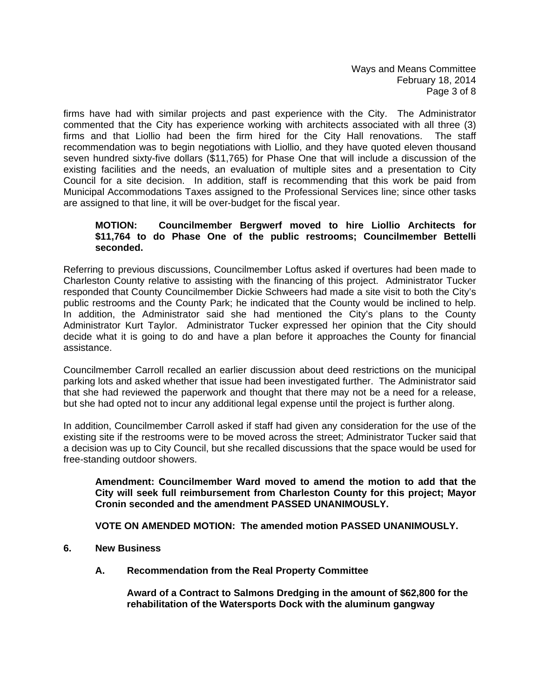Ways and Means Committee February 18, 2014 Page 3 of 8

firms have had with similar projects and past experience with the City. The Administrator commented that the City has experience working with architects associated with all three (3) firms and that Liollio had been the firm hired for the City Hall renovations. The staff recommendation was to begin negotiations with Liollio, and they have quoted eleven thousand seven hundred sixty-five dollars (\$11,765) for Phase One that will include a discussion of the existing facilities and the needs, an evaluation of multiple sites and a presentation to City Council for a site decision. In addition, staff is recommending that this work be paid from Municipal Accommodations Taxes assigned to the Professional Services line; since other tasks are assigned to that line, it will be over-budget for the fiscal year.

#### **MOTION: Councilmember Bergwerf moved to hire Liollio Architects for \$11,764 to do Phase One of the public restrooms; Councilmember Bettelli seconded.**

Referring to previous discussions, Councilmember Loftus asked if overtures had been made to Charleston County relative to assisting with the financing of this project. Administrator Tucker responded that County Councilmember Dickie Schweers had made a site visit to both the City's public restrooms and the County Park; he indicated that the County would be inclined to help. In addition, the Administrator said she had mentioned the City's plans to the County Administrator Kurt Taylor. Administrator Tucker expressed her opinion that the City should decide what it is going to do and have a plan before it approaches the County for financial assistance.

Councilmember Carroll recalled an earlier discussion about deed restrictions on the municipal parking lots and asked whether that issue had been investigated further. The Administrator said that she had reviewed the paperwork and thought that there may not be a need for a release, but she had opted not to incur any additional legal expense until the project is further along.

In addition, Councilmember Carroll asked if staff had given any consideration for the use of the existing site if the restrooms were to be moved across the street; Administrator Tucker said that a decision was up to City Council, but she recalled discussions that the space would be used for free-standing outdoor showers.

**Amendment: Councilmember Ward moved to amend the motion to add that the City will seek full reimbursement from Charleston County for this project; Mayor Cronin seconded and the amendment PASSED UNANIMOUSLY.** 

 **VOTE ON AMENDED MOTION: The amended motion PASSED UNANIMOUSLY.** 

- **6. New Business** 
	- **A. Recommendation from the Real Property Committee**

 **Award of a Contract to Salmons Dredging in the amount of \$62,800 for the rehabilitation of the Watersports Dock with the aluminum gangway**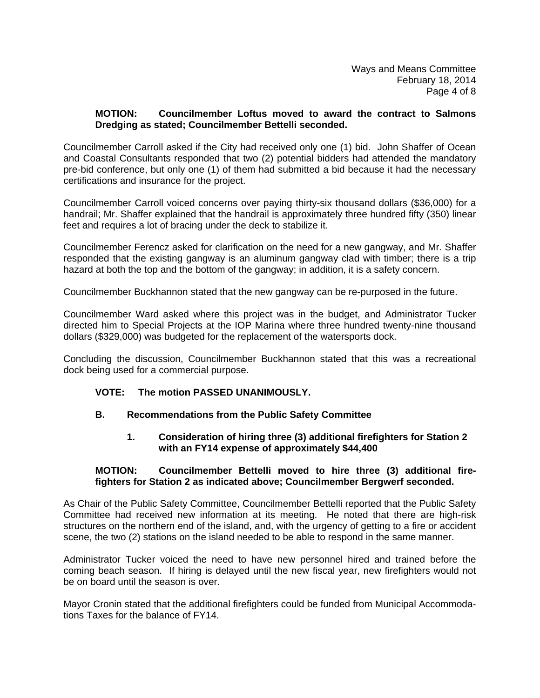#### **MOTION: Councilmember Loftus moved to award the contract to Salmons Dredging as stated; Councilmember Bettelli seconded.**

Councilmember Carroll asked if the City had received only one (1) bid. John Shaffer of Ocean and Coastal Consultants responded that two (2) potential bidders had attended the mandatory pre-bid conference, but only one (1) of them had submitted a bid because it had the necessary certifications and insurance for the project.

Councilmember Carroll voiced concerns over paying thirty-six thousand dollars (\$36,000) for a handrail; Mr. Shaffer explained that the handrail is approximately three hundred fifty (350) linear feet and requires a lot of bracing under the deck to stabilize it.

Councilmember Ferencz asked for clarification on the need for a new gangway, and Mr. Shaffer responded that the existing gangway is an aluminum gangway clad with timber; there is a trip hazard at both the top and the bottom of the gangway; in addition, it is a safety concern.

Councilmember Buckhannon stated that the new gangway can be re-purposed in the future.

Councilmember Ward asked where this project was in the budget, and Administrator Tucker directed him to Special Projects at the IOP Marina where three hundred twenty-nine thousand dollars (\$329,000) was budgeted for the replacement of the watersports dock.

Concluding the discussion, Councilmember Buckhannon stated that this was a recreational dock being used for a commercial purpose.

# **VOTE: The motion PASSED UNANIMOUSLY.**

# **B. Recommendations from the Public Safety Committee**

# **1. Consideration of hiring three (3) additional firefighters for Station 2 with an FY14 expense of approximately \$44,400**

#### **MOTION: Councilmember Bettelli moved to hire three (3) additional fire fighters for Station 2 as indicated above; Councilmember Bergwerf seconded.**

As Chair of the Public Safety Committee, Councilmember Bettelli reported that the Public Safety Committee had received new information at its meeting. He noted that there are high-risk structures on the northern end of the island, and, with the urgency of getting to a fire or accident scene, the two (2) stations on the island needed to be able to respond in the same manner.

Administrator Tucker voiced the need to have new personnel hired and trained before the coming beach season. If hiring is delayed until the new fiscal year, new firefighters would not be on board until the season is over.

Mayor Cronin stated that the additional firefighters could be funded from Municipal Accommodations Taxes for the balance of FY14.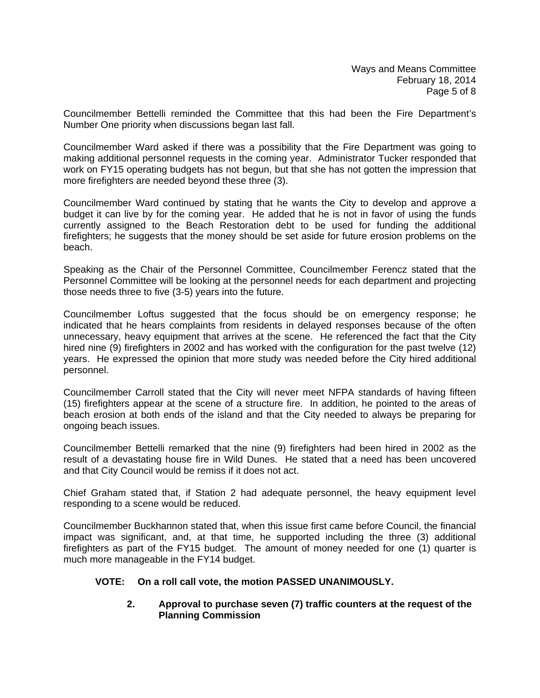Councilmember Bettelli reminded the Committee that this had been the Fire Department's Number One priority when discussions began last fall.

Councilmember Ward asked if there was a possibility that the Fire Department was going to making additional personnel requests in the coming year. Administrator Tucker responded that work on FY15 operating budgets has not begun, but that she has not gotten the impression that more firefighters are needed beyond these three (3).

Councilmember Ward continued by stating that he wants the City to develop and approve a budget it can live by for the coming year. He added that he is not in favor of using the funds currently assigned to the Beach Restoration debt to be used for funding the additional firefighters; he suggests that the money should be set aside for future erosion problems on the beach.

Speaking as the Chair of the Personnel Committee, Councilmember Ferencz stated that the Personnel Committee will be looking at the personnel needs for each department and projecting those needs three to five (3-5) years into the future.

Councilmember Loftus suggested that the focus should be on emergency response; he indicated that he hears complaints from residents in delayed responses because of the often unnecessary, heavy equipment that arrives at the scene. He referenced the fact that the City hired nine (9) firefighters in 2002 and has worked with the configuration for the past twelve (12) years. He expressed the opinion that more study was needed before the City hired additional personnel.

Councilmember Carroll stated that the City will never meet NFPA standards of having fifteen (15) firefighters appear at the scene of a structure fire. In addition, he pointed to the areas of beach erosion at both ends of the island and that the City needed to always be preparing for ongoing beach issues.

Councilmember Bettelli remarked that the nine (9) firefighters had been hired in 2002 as the result of a devastating house fire in Wild Dunes. He stated that a need has been uncovered and that City Council would be remiss if it does not act.

Chief Graham stated that, if Station 2 had adequate personnel, the heavy equipment level responding to a scene would be reduced.

Councilmember Buckhannon stated that, when this issue first came before Council, the financial impact was significant, and, at that time, he supported including the three (3) additional firefighters as part of the FY15 budget. The amount of money needed for one (1) quarter is much more manageable in the FY14 budget.

# **VOTE: On a roll call vote, the motion PASSED UNANIMOUSLY.**

#### **2. Approval to purchase seven (7) traffic counters at the request of the Planning Commission**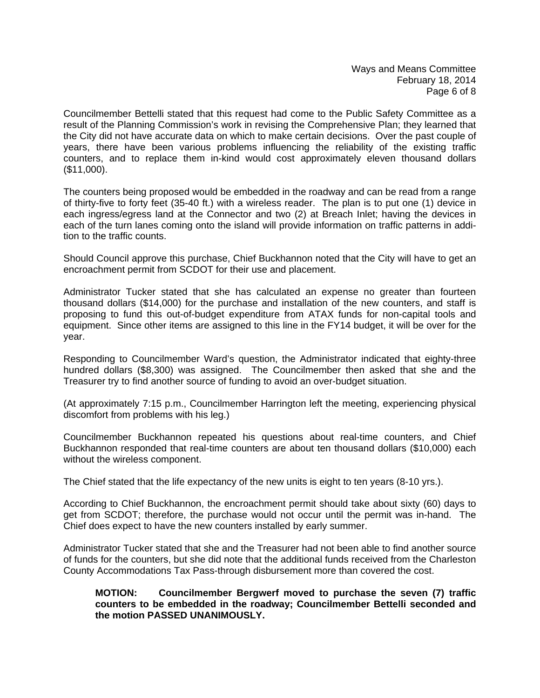Ways and Means Committee February 18, 2014 Page 6 of 8

Councilmember Bettelli stated that this request had come to the Public Safety Committee as a result of the Planning Commission's work in revising the Comprehensive Plan; they learned that the City did not have accurate data on which to make certain decisions. Over the past couple of years, there have been various problems influencing the reliability of the existing traffic counters, and to replace them in-kind would cost approximately eleven thousand dollars (\$11,000).

The counters being proposed would be embedded in the roadway and can be read from a range of thirty-five to forty feet (35-40 ft.) with a wireless reader. The plan is to put one (1) device in each ingress/egress land at the Connector and two (2) at Breach Inlet; having the devices in each of the turn lanes coming onto the island will provide information on traffic patterns in addition to the traffic counts.

Should Council approve this purchase, Chief Buckhannon noted that the City will have to get an encroachment permit from SCDOT for their use and placement.

Administrator Tucker stated that she has calculated an expense no greater than fourteen thousand dollars (\$14,000) for the purchase and installation of the new counters, and staff is proposing to fund this out-of-budget expenditure from ATAX funds for non-capital tools and equipment. Since other items are assigned to this line in the FY14 budget, it will be over for the year.

Responding to Councilmember Ward's question, the Administrator indicated that eighty-three hundred dollars (\$8,300) was assigned. The Councilmember then asked that she and the Treasurer try to find another source of funding to avoid an over-budget situation.

(At approximately 7:15 p.m., Councilmember Harrington left the meeting, experiencing physical discomfort from problems with his leg.)

Councilmember Buckhannon repeated his questions about real-time counters, and Chief Buckhannon responded that real-time counters are about ten thousand dollars (\$10,000) each without the wireless component.

The Chief stated that the life expectancy of the new units is eight to ten years (8-10 yrs.).

According to Chief Buckhannon, the encroachment permit should take about sixty (60) days to get from SCDOT; therefore, the purchase would not occur until the permit was in-hand. The Chief does expect to have the new counters installed by early summer.

Administrator Tucker stated that she and the Treasurer had not been able to find another source of funds for the counters, but she did note that the additional funds received from the Charleston County Accommodations Tax Pass-through disbursement more than covered the cost.

#### **MOTION: Councilmember Bergwerf moved to purchase the seven (7) traffic counters to be embedded in the roadway; Councilmember Bettelli seconded and the motion PASSED UNANIMOUSLY.**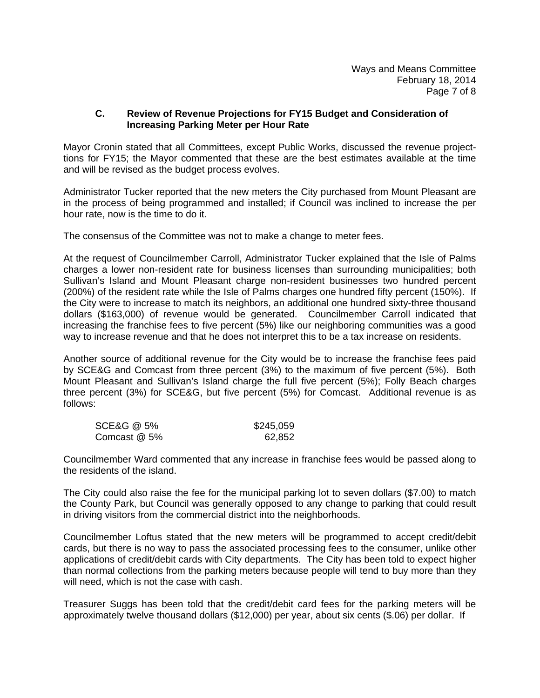#### **C. Review of Revenue Projections for FY15 Budget and Consideration of Increasing Parking Meter per Hour Rate**

Mayor Cronin stated that all Committees, except Public Works, discussed the revenue projecttions for FY15; the Mayor commented that these are the best estimates available at the time and will be revised as the budget process evolves.

Administrator Tucker reported that the new meters the City purchased from Mount Pleasant are in the process of being programmed and installed; if Council was inclined to increase the per hour rate, now is the time to do it.

The consensus of the Committee was not to make a change to meter fees.

At the request of Councilmember Carroll, Administrator Tucker explained that the Isle of Palms charges a lower non-resident rate for business licenses than surrounding municipalities; both Sullivan's Island and Mount Pleasant charge non-resident businesses two hundred percent (200%) of the resident rate while the Isle of Palms charges one hundred fifty percent (150%). If the City were to increase to match its neighbors, an additional one hundred sixty-three thousand dollars (\$163,000) of revenue would be generated. Councilmember Carroll indicated that increasing the franchise fees to five percent (5%) like our neighboring communities was a good way to increase revenue and that he does not interpret this to be a tax increase on residents.

Another source of additional revenue for the City would be to increase the franchise fees paid by SCE&G and Comcast from three percent (3%) to the maximum of five percent (5%). Both Mount Pleasant and Sullivan's Island charge the full five percent (5%); Folly Beach charges three percent (3%) for SCE&G, but five percent (5%) for Comcast. Additional revenue is as follows:

| <b>SCE&amp;G @ 5%</b> | \$245,059 |
|-----------------------|-----------|
| Comcast @ 5%          | 62,852    |

Councilmember Ward commented that any increase in franchise fees would be passed along to the residents of the island.

The City could also raise the fee for the municipal parking lot to seven dollars (\$7.00) to match the County Park, but Council was generally opposed to any change to parking that could result in driving visitors from the commercial district into the neighborhoods.

Councilmember Loftus stated that the new meters will be programmed to accept credit/debit cards, but there is no way to pass the associated processing fees to the consumer, unlike other applications of credit/debit cards with City departments. The City has been told to expect higher than normal collections from the parking meters because people will tend to buy more than they will need, which is not the case with cash.

Treasurer Suggs has been told that the credit/debit card fees for the parking meters will be approximately twelve thousand dollars (\$12,000) per year, about six cents (\$.06) per dollar. If